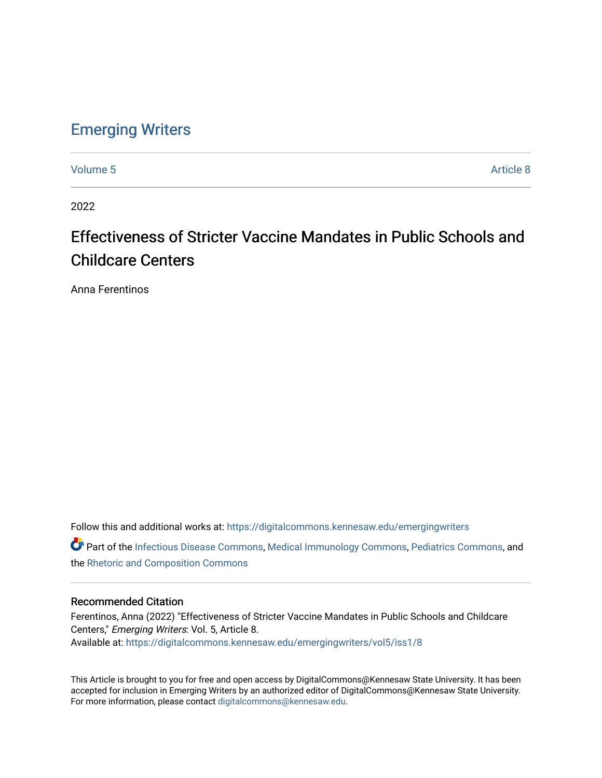## [Emerging Writers](https://digitalcommons.kennesaw.edu/emergingwriters)

[Volume 5](https://digitalcommons.kennesaw.edu/emergingwriters/vol5) Article 8

2022

# Effectiveness of Stricter Vaccine Mandates in Public Schools and Childcare Centers

Anna Ferentinos

Follow this and additional works at: [https://digitalcommons.kennesaw.edu/emergingwriters](https://digitalcommons.kennesaw.edu/emergingwriters?utm_source=digitalcommons.kennesaw.edu%2Femergingwriters%2Fvol5%2Fiss1%2F8&utm_medium=PDF&utm_campaign=PDFCoverPages) 

Part of the [Infectious Disease Commons,](http://network.bepress.com/hgg/discipline/689?utm_source=digitalcommons.kennesaw.edu%2Femergingwriters%2Fvol5%2Fiss1%2F8&utm_medium=PDF&utm_campaign=PDFCoverPages) [Medical Immunology Commons,](http://network.bepress.com/hgg/discipline/671?utm_source=digitalcommons.kennesaw.edu%2Femergingwriters%2Fvol5%2Fiss1%2F8&utm_medium=PDF&utm_campaign=PDFCoverPages) [Pediatrics Commons,](http://network.bepress.com/hgg/discipline/700?utm_source=digitalcommons.kennesaw.edu%2Femergingwriters%2Fvol5%2Fiss1%2F8&utm_medium=PDF&utm_campaign=PDFCoverPages) and the [Rhetoric and Composition Commons](http://network.bepress.com/hgg/discipline/573?utm_source=digitalcommons.kennesaw.edu%2Femergingwriters%2Fvol5%2Fiss1%2F8&utm_medium=PDF&utm_campaign=PDFCoverPages)

## Recommended Citation

Ferentinos, Anna (2022) "Effectiveness of Stricter Vaccine Mandates in Public Schools and Childcare Centers," Emerging Writers: Vol. 5, Article 8. Available at: [https://digitalcommons.kennesaw.edu/emergingwriters/vol5/iss1/8](https://digitalcommons.kennesaw.edu/emergingwriters/vol5/iss1/8?utm_source=digitalcommons.kennesaw.edu%2Femergingwriters%2Fvol5%2Fiss1%2F8&utm_medium=PDF&utm_campaign=PDFCoverPages) 

This Article is brought to you for free and open access by DigitalCommons@Kennesaw State University. It has been accepted for inclusion in Emerging Writers by an authorized editor of DigitalCommons@Kennesaw State University. For more information, please contact [digitalcommons@kennesaw.edu.](mailto:digitalcommons@kennesaw.edu)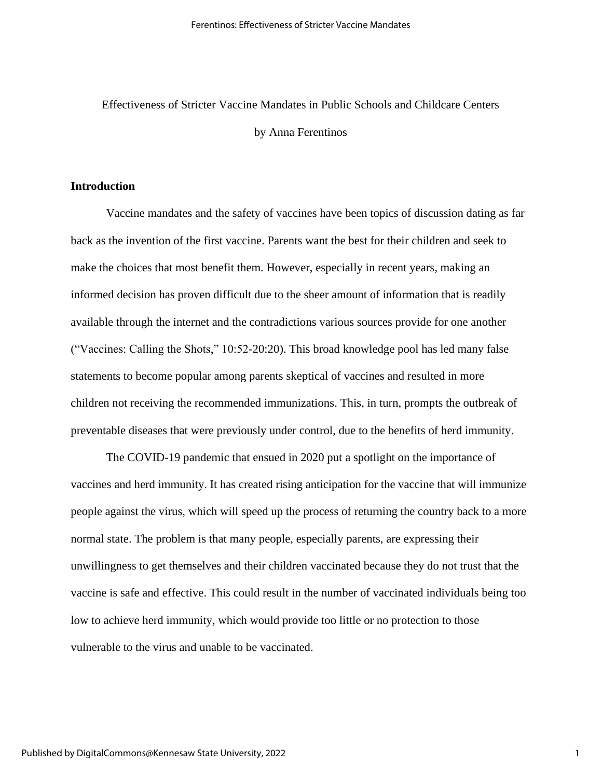## Effectiveness of Stricter Vaccine Mandates in Public Schools and Childcare Centers by Anna Ferentinos

## **Introduction**

Vaccine mandates and the safety of vaccines have been topics of discussion dating as far back as the invention of the first vaccine. Parents want the best for their children and seek to make the choices that most benefit them. However, especially in recent years, making an informed decision has proven difficult due to the sheer amount of information that is readily available through the internet and the contradictions various sources provide for one another ("Vaccines: Calling the Shots," 10:52-20:20). This broad knowledge pool has led many false statements to become popular among parents skeptical of vaccines and resulted in more children not receiving the recommended immunizations. This, in turn, prompts the outbreak of preventable diseases that were previously under control, due to the benefits of herd immunity.

The COVID-19 pandemic that ensued in 2020 put a spotlight on the importance of vaccines and herd immunity. It has created rising anticipation for the vaccine that will immunize people against the virus, which will speed up the process of returning the country back to a more normal state. The problem is that many people, especially parents, are expressing their unwillingness to get themselves and their children vaccinated because they do not trust that the vaccine is safe and effective. This could result in the number of vaccinated individuals being too low to achieve herd immunity, which would provide too little or no protection to those vulnerable to the virus and unable to be vaccinated.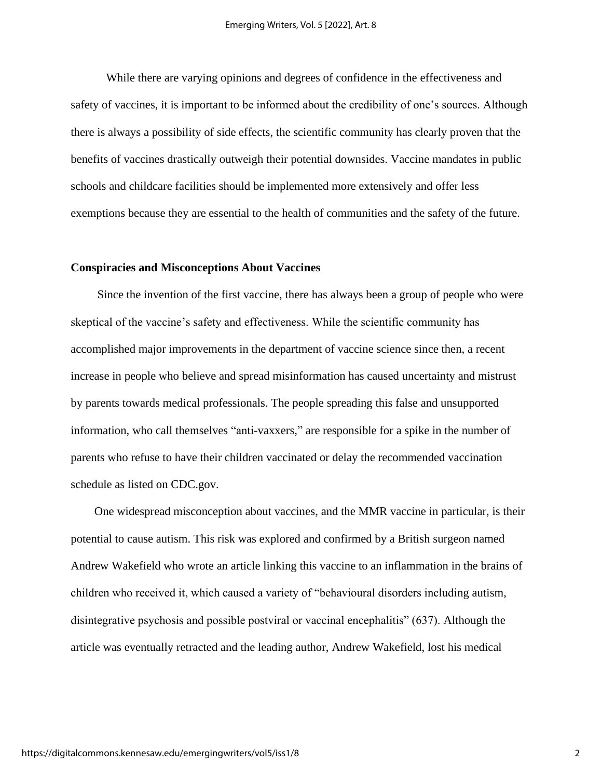While there are varying opinions and degrees of confidence in the effectiveness and safety of vaccines, it is important to be informed about the credibility of one's sources. Although there is always a possibility of side effects, the scientific community has clearly proven that the benefits of vaccines drastically outweigh their potential downsides. Vaccine mandates in public schools and childcare facilities should be implemented more extensively and offer less exemptions because they are essential to the health of communities and the safety of the future.

### **Conspiracies and Misconceptions About Vaccines**

 Since the invention of the first vaccine, there has always been a group of people who were skeptical of the vaccine's safety and effectiveness. While the scientific community has accomplished major improvements in the department of vaccine science since then, a recent increase in people who believe and spread misinformation has caused uncertainty and mistrust by parents towards medical professionals. The people spreading this false and unsupported information, who call themselves "anti-vaxxers," are responsible for a spike in the number of parents who refuse to have their children vaccinated or delay the recommended vaccination schedule as listed on CDC.gov.

 One widespread misconception about vaccines, and the MMR vaccine in particular, is their potential to cause autism. This risk was explored and confirmed by a British surgeon named Andrew Wakefield who wrote an article linking this vaccine to an inflammation in the brains of children who received it, which caused a variety of "behavioural disorders including autism, disintegrative psychosis and possible postviral or vaccinal encephalitis" (637). Although the article was eventually retracted and the leading author, Andrew Wakefield, lost his medical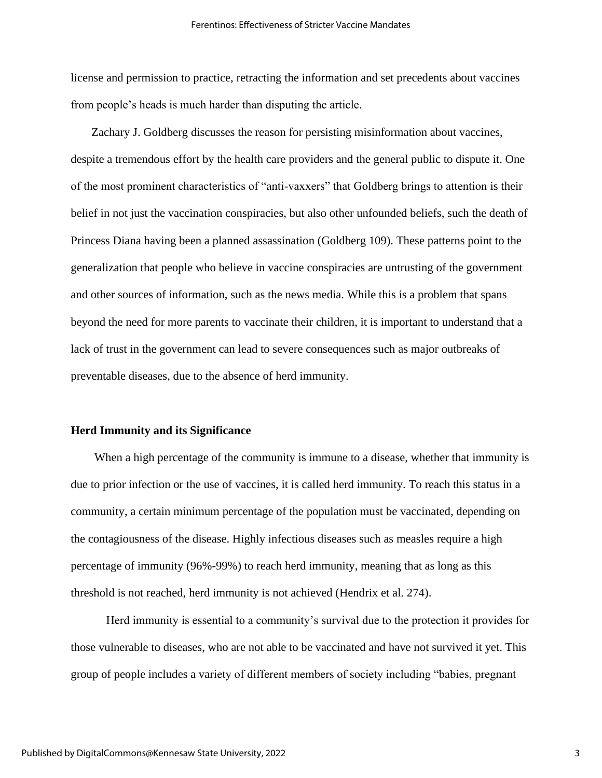license and permission to practice, retracting the information and set precedents about vaccines from people's heads is much harder than disputing the article.

 Zachary J. Goldberg discusses the reason for persisting misinformation about vaccines, despite a tremendous effort by the health care providers and the general public to dispute it. One of the most prominent characteristics of "anti-vaxxers" that Goldberg brings to attention is their belief in not just the vaccination conspiracies, but also other unfounded beliefs, such the death of Princess Diana having been a planned assassination (Goldberg 109). These patterns point to the generalization that people who believe in vaccine conspiracies are untrusting of the government and other sources of information, such as the news media. While this is a problem that spans beyond the need for more parents to vaccinate their children, it is important to understand that a lack of trust in the government can lead to severe consequences such as major outbreaks of preventable diseases, due to the absence of herd immunity.

#### **Herd Immunity and its Significance**

 When a high percentage of the community is immune to a disease, whether that immunity is due to prior infection or the use of vaccines, it is called herd immunity. To reach this status in a community, a certain minimum percentage of the population must be vaccinated, depending on the contagiousness of the disease. Highly infectious diseases such as measles require a high percentage of immunity (96%-99%) to reach herd immunity, meaning that as long as this threshold is not reached, herd immunity is not achieved (Hendrix et al. 274).

Herd immunity is essential to a community's survival due to the protection it provides for those vulnerable to diseases, who are not able to be vaccinated and have not survived it yet. This group of people includes a variety of different members of society including "babies, pregnant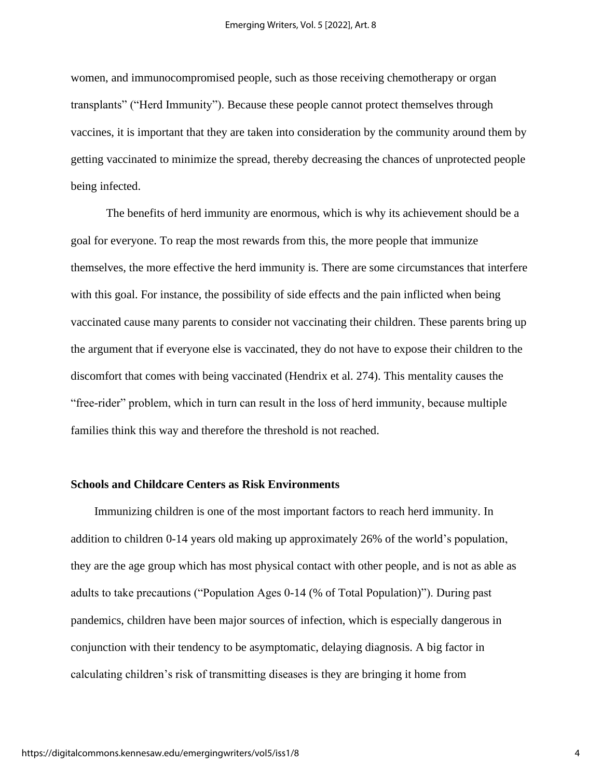women, and immunocompromised people, such as those receiving chemotherapy or organ transplants" ("Herd Immunity"). Because these people cannot protect themselves through vaccines, it is important that they are taken into consideration by the community around them by getting vaccinated to minimize the spread, thereby decreasing the chances of unprotected people being infected.

The benefits of herd immunity are enormous, which is why its achievement should be a goal for everyone. To reap the most rewards from this, the more people that immunize themselves, the more effective the herd immunity is. There are some circumstances that interfere with this goal. For instance, the possibility of side effects and the pain inflicted when being vaccinated cause many parents to consider not vaccinating their children. These parents bring up the argument that if everyone else is vaccinated, they do not have to expose their children to the discomfort that comes with being vaccinated (Hendrix et al. 274). This mentality causes the "free-rider" problem, which in turn can result in the loss of herd immunity, because multiple families think this way and therefore the threshold is not reached.

#### **Schools and Childcare Centers as Risk Environments**

 Immunizing children is one of the most important factors to reach herd immunity. In addition to children 0-14 years old making up approximately 26% of the world's population, they are the age group which has most physical contact with other people, and is not as able as adults to take precautions ("Population Ages 0-14 (% of Total Population)"). During past pandemics, children have been major sources of infection, which is especially dangerous in conjunction with their tendency to be asymptomatic, delaying diagnosis. A big factor in calculating children's risk of transmitting diseases is they are bringing it home from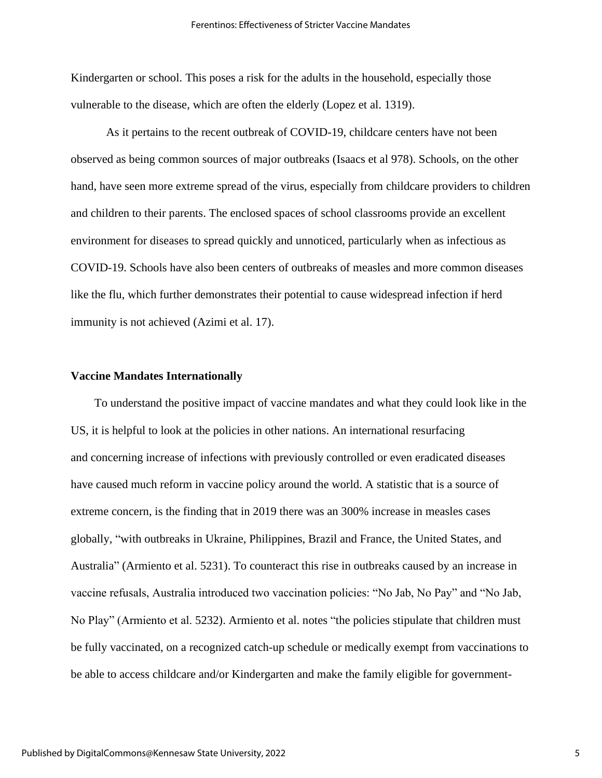Kindergarten or school. This poses a risk for the adults in the household, especially those vulnerable to the disease, which are often the elderly (Lopez et al. 1319).

As it pertains to the recent outbreak of COVID-19, childcare centers have not been observed as being common sources of major outbreaks (Isaacs et al 978). Schools, on the other hand, have seen more extreme spread of the virus, especially from childcare providers to children and children to their parents. The enclosed spaces of school classrooms provide an excellent environment for diseases to spread quickly and unnoticed, particularly when as infectious as COVID-19. Schools have also been centers of outbreaks of measles and more common diseases like the flu, which further demonstrates their potential to cause widespread infection if herd immunity is not achieved (Azimi et al. 17).

#### **Vaccine Mandates Internationally**

 To understand the positive impact of vaccine mandates and what they could look like in the US, it is helpful to look at the policies in other nations. An international resurfacing and concerning increase of infections with previously controlled or even eradicated diseases have caused much reform in vaccine policy around the world. A statistic that is a source of extreme concern, is the finding that in 2019 there was an 300% increase in measles cases globally, "with outbreaks in Ukraine, Philippines, Brazil and France, the United States, and Australia" (Armiento et al. 5231). To counteract this rise in outbreaks caused by an increase in vaccine refusals, Australia introduced two vaccination policies: "No Jab, No Pay" and "No Jab, No Play" (Armiento et al. 5232). Armiento et al. notes "the policies stipulate that children must be fully vaccinated, on a recognized catch-up schedule or medically exempt from vaccinations to be able to access childcare and/or Kindergarten and make the family eligible for government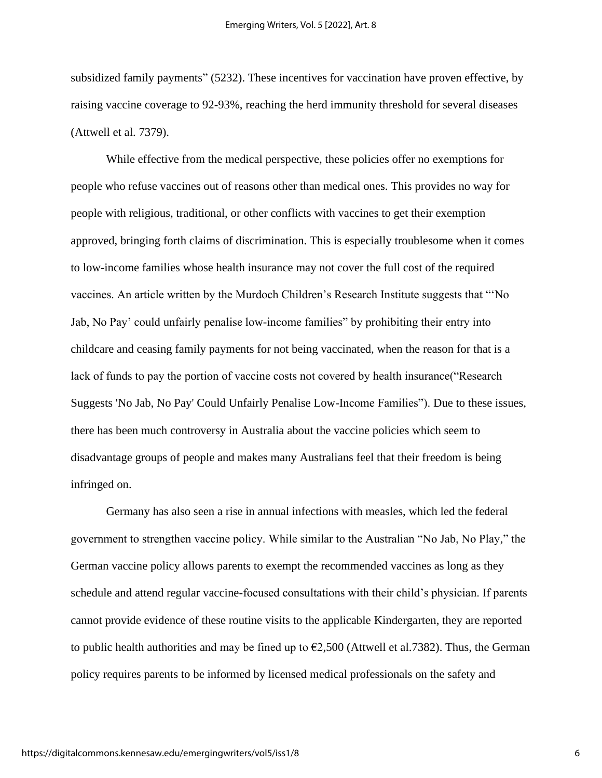subsidized family payments" (5232). These incentives for vaccination have proven effective, by raising vaccine coverage to 92-93%, reaching the herd immunity threshold for several diseases (Attwell et al. 7379).

While effective from the medical perspective, these policies offer no exemptions for people who refuse vaccines out of reasons other than medical ones. This provides no way for people with religious, traditional, or other conflicts with vaccines to get their exemption approved, bringing forth claims of discrimination. This is especially troublesome when it comes to low-income families whose health insurance may not cover the full cost of the required vaccines. An article written by the Murdoch Children's Research Institute suggests that "'No Jab, No Pay' could unfairly penalise low-income families" by prohibiting their entry into childcare and ceasing family payments for not being vaccinated, when the reason for that is a lack of funds to pay the portion of vaccine costs not covered by health insurance("Research Suggests 'No Jab, No Pay' Could Unfairly Penalise Low-Income Families"). Due to these issues, there has been much controversy in Australia about the vaccine policies which seem to disadvantage groups of people and makes many Australians feel that their freedom is being infringed on.

Germany has also seen a rise in annual infections with measles, which led the federal government to strengthen vaccine policy. While similar to the Australian "No Jab, No Play," the German vaccine policy allows parents to exempt the recommended vaccines as long as they schedule and attend regular vaccine-focused consultations with their child's physician. If parents cannot provide evidence of these routine visits to the applicable Kindergarten, they are reported to public health authorities and may be fined up to  $\epsilon$ 2,500 (Attwell et al.7382). Thus, the German policy requires parents to be informed by licensed medical professionals on the safety and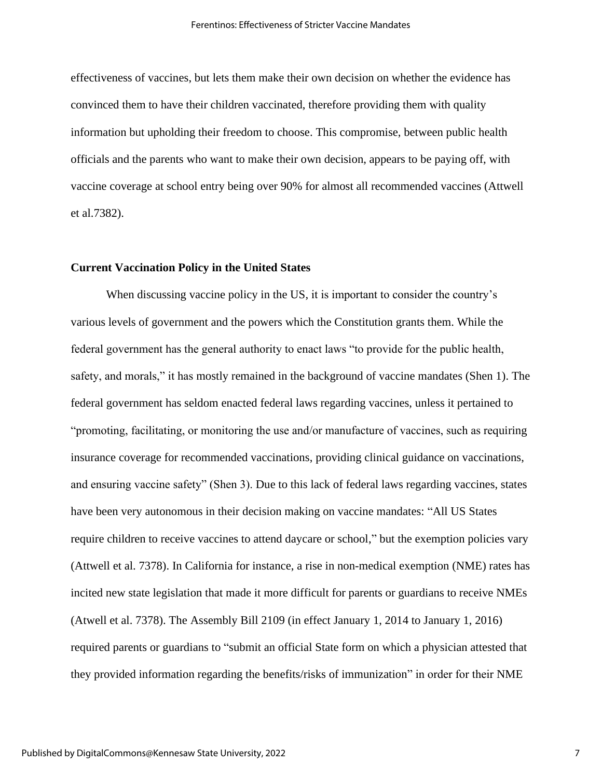effectiveness of vaccines, but lets them make their own decision on whether the evidence has convinced them to have their children vaccinated, therefore providing them with quality information but upholding their freedom to choose. This compromise, between public health officials and the parents who want to make their own decision, appears to be paying off, with vaccine coverage at school entry being over 90% for almost all recommended vaccines (Attwell et al.7382).

### **Current Vaccination Policy in the United States**

When discussing vaccine policy in the US, it is important to consider the country's various levels of government and the powers which the Constitution grants them. While the federal government has the general authority to enact laws "to provide for the public health, safety, and morals," it has mostly remained in the background of vaccine mandates (Shen 1). The federal government has seldom enacted federal laws regarding vaccines, unless it pertained to "promoting, facilitating, or monitoring the use and/or manufacture of vaccines, such as requiring insurance coverage for recommended vaccinations, providing clinical guidance on vaccinations, and ensuring vaccine safety" (Shen 3). Due to this lack of federal laws regarding vaccines, states have been very autonomous in their decision making on vaccine mandates: "All US States require children to receive vaccines to attend daycare or school," but the exemption policies vary (Attwell et al. 7378). In California for instance, a rise in non-medical exemption (NME) rates has incited new state legislation that made it more difficult for parents or guardians to receive NMEs (Atwell et al. 7378). The Assembly Bill 2109 (in effect January 1, 2014 to January 1, 2016) required parents or guardians to "submit an official State form on which a physician attested that they provided information regarding the benefits/risks of immunization" in order for their NME

7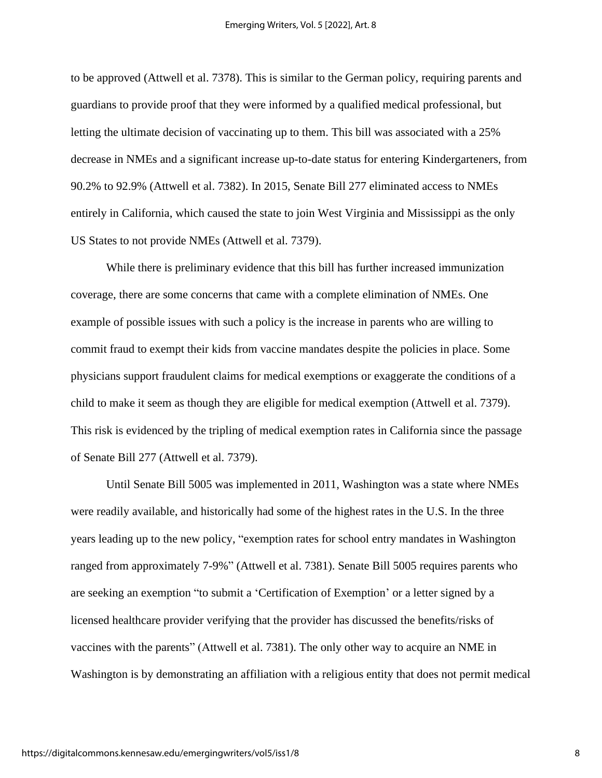to be approved (Attwell et al. 7378). This is similar to the German policy, requiring parents and guardians to provide proof that they were informed by a qualified medical professional, but letting the ultimate decision of vaccinating up to them. This bill was associated with a 25% decrease in NMEs and a significant increase up-to-date status for entering Kindergarteners, from 90.2% to 92.9% (Attwell et al. 7382). In 2015, Senate Bill 277 eliminated access to NMEs entirely in California, which caused the state to join West Virginia and Mississippi as the only US States to not provide NMEs (Attwell et al. 7379).

While there is preliminary evidence that this bill has further increased immunization coverage, there are some concerns that came with a complete elimination of NMEs. One example of possible issues with such a policy is the increase in parents who are willing to commit fraud to exempt their kids from vaccine mandates despite the policies in place. Some physicians support fraudulent claims for medical exemptions or exaggerate the conditions of a child to make it seem as though they are eligible for medical exemption (Attwell et al. 7379). This risk is evidenced by the tripling of medical exemption rates in California since the passage of Senate Bill 277 (Attwell et al. 7379).

Until Senate Bill 5005 was implemented in 2011, Washington was a state where NMEs were readily available, and historically had some of the highest rates in the U.S. In the three years leading up to the new policy, "exemption rates for school entry mandates in Washington ranged from approximately 7-9%" (Attwell et al. 7381). Senate Bill 5005 requires parents who are seeking an exemption "to submit a 'Certification of Exemption' or a letter signed by a licensed healthcare provider verifying that the provider has discussed the benefits/risks of vaccines with the parents" (Attwell et al. 7381). The only other way to acquire an NME in Washington is by demonstrating an affiliation with a religious entity that does not permit medical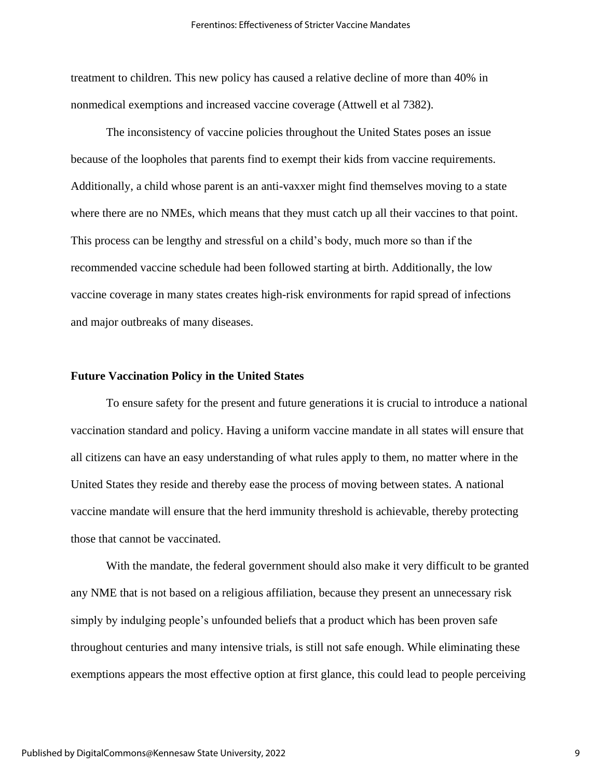treatment to children. This new policy has caused a relative decline of more than 40% in nonmedical exemptions and increased vaccine coverage (Attwell et al 7382).

The inconsistency of vaccine policies throughout the United States poses an issue because of the loopholes that parents find to exempt their kids from vaccine requirements. Additionally, a child whose parent is an anti-vaxxer might find themselves moving to a state where there are no NMEs, which means that they must catch up all their vaccines to that point. This process can be lengthy and stressful on a child's body, much more so than if the recommended vaccine schedule had been followed starting at birth. Additionally, the low vaccine coverage in many states creates high-risk environments for rapid spread of infections and major outbreaks of many diseases.

#### **Future Vaccination Policy in the United States**

To ensure safety for the present and future generations it is crucial to introduce a national vaccination standard and policy. Having a uniform vaccine mandate in all states will ensure that all citizens can have an easy understanding of what rules apply to them, no matter where in the United States they reside and thereby ease the process of moving between states. A national vaccine mandate will ensure that the herd immunity threshold is achievable, thereby protecting those that cannot be vaccinated.

With the mandate, the federal government should also make it very difficult to be granted any NME that is not based on a religious affiliation, because they present an unnecessary risk simply by indulging people's unfounded beliefs that a product which has been proven safe throughout centuries and many intensive trials, is still not safe enough. While eliminating these exemptions appears the most effective option at first glance, this could lead to people perceiving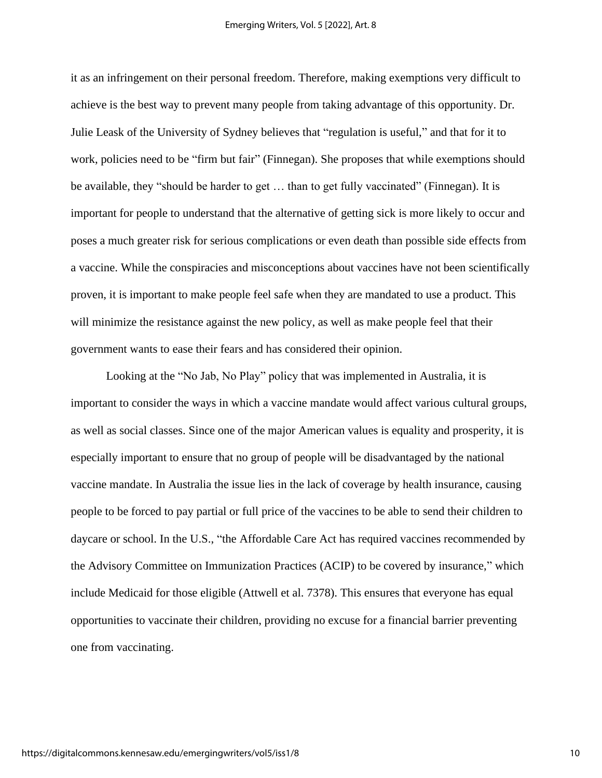it as an infringement on their personal freedom. Therefore, making exemptions very difficult to achieve is the best way to prevent many people from taking advantage of this opportunity. Dr. Julie Leask of the University of Sydney believes that "regulation is useful," and that for it to work, policies need to be "firm but fair" (Finnegan). She proposes that while exemptions should be available, they "should be harder to get … than to get fully vaccinated" (Finnegan). It is important for people to understand that the alternative of getting sick is more likely to occur and poses a much greater risk for serious complications or even death than possible side effects from a vaccine. While the conspiracies and misconceptions about vaccines have not been scientifically proven, it is important to make people feel safe when they are mandated to use a product. This will minimize the resistance against the new policy, as well as make people feel that their government wants to ease their fears and has considered their opinion.

Looking at the "No Jab, No Play" policy that was implemented in Australia, it is important to consider the ways in which a vaccine mandate would affect various cultural groups, as well as social classes. Since one of the major American values is equality and prosperity, it is especially important to ensure that no group of people will be disadvantaged by the national vaccine mandate. In Australia the issue lies in the lack of coverage by health insurance, causing people to be forced to pay partial or full price of the vaccines to be able to send their children to daycare or school. In the U.S., "the Affordable Care Act has required vaccines recommended by the Advisory Committee on Immunization Practices (ACIP) to be covered by insurance," which include Medicaid for those eligible (Attwell et al. 7378). This ensures that everyone has equal opportunities to vaccinate their children, providing no excuse for a financial barrier preventing one from vaccinating.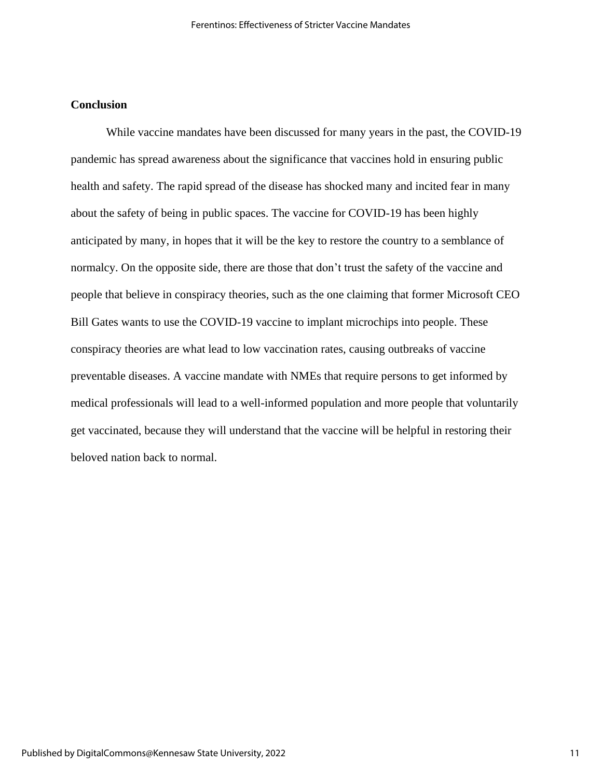## **Conclusion**

While vaccine mandates have been discussed for many years in the past, the COVID-19 pandemic has spread awareness about the significance that vaccines hold in ensuring public health and safety. The rapid spread of the disease has shocked many and incited fear in many about the safety of being in public spaces. The vaccine for COVID-19 has been highly anticipated by many, in hopes that it will be the key to restore the country to a semblance of normalcy. On the opposite side, there are those that don't trust the safety of the vaccine and people that believe in conspiracy theories, such as the one claiming that former Microsoft CEO Bill Gates wants to use the COVID-19 vaccine to implant microchips into people. These conspiracy theories are what lead to low vaccination rates, causing outbreaks of vaccine preventable diseases. A vaccine mandate with NMEs that require persons to get informed by medical professionals will lead to a well-informed population and more people that voluntarily get vaccinated, because they will understand that the vaccine will be helpful in restoring their beloved nation back to normal.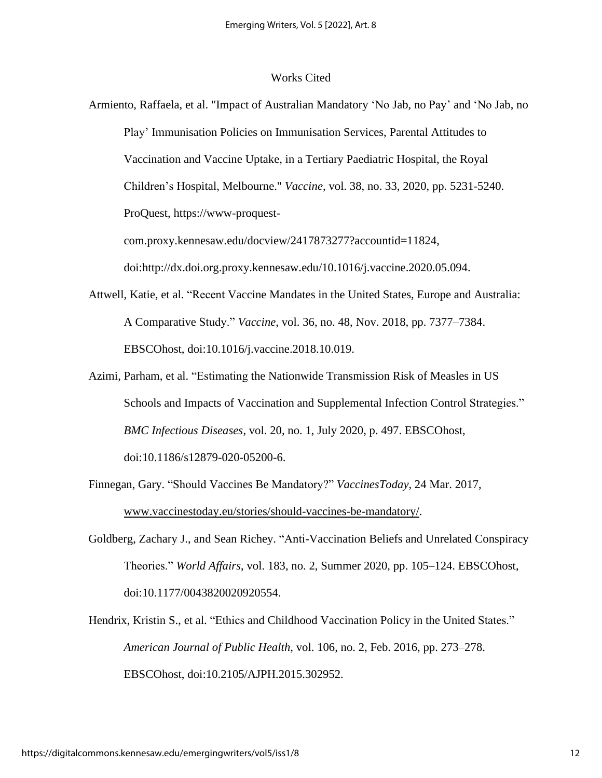#### Works Cited

Armiento, Raffaela, et al. "Impact of Australian Mandatory 'No Jab, no Pay' and 'No Jab, no Play' Immunisation Policies on Immunisation Services, Parental Attitudes to Vaccination and Vaccine Uptake, in a Tertiary Paediatric Hospital, the Royal Children's Hospital, Melbourne." *Vaccine*, vol. 38, no. 33, 2020, pp. 5231-5240. ProQuest, https://www-proquest-

com.proxy.kennesaw.edu/docview/2417873277?accountid=11824,

doi:http://dx.doi.org.proxy.kennesaw.edu/10.1016/j.vaccine.2020.05.094.

- Attwell, Katie, et al. "Recent Vaccine Mandates in the United States, Europe and Australia: A Comparative Study." *Vaccine*, vol. 36, no. 48, Nov. 2018, pp. 7377–7384. EBSCOhost, doi:10.1016/j.vaccine.2018.10.019.
- Azimi, Parham, et al. "Estimating the Nationwide Transmission Risk of Measles in US Schools and Impacts of Vaccination and Supplemental Infection Control Strategies." *BMC Infectious Diseases*, vol. 20, no. 1, July 2020, p. 497. EBSCOhost, doi:10.1186/s12879-020-05200-6.
- Finnegan, Gary. "Should Vaccines Be Mandatory?" *VaccinesToday*, 24 Mar. 2017, [www.vaccinestoday.eu/stories/should-vaccines-be-mandatory/.](http://www.vaccinestoday.eu/stories/should-vaccines-be-mandatory/)
- Goldberg, Zachary J., and Sean Richey. "Anti-Vaccination Beliefs and Unrelated Conspiracy Theories." *World Affairs*, vol. 183, no. 2, Summer 2020, pp. 105–124. EBSCOhost, doi:10.1177/0043820020920554.
- Hendrix, Kristin S., et al. "Ethics and Childhood Vaccination Policy in the United States." *American Journal of Public Health*, vol. 106, no. 2, Feb. 2016, pp. 273–278. EBSCOhost, doi:10.2105/AJPH.2015.302952.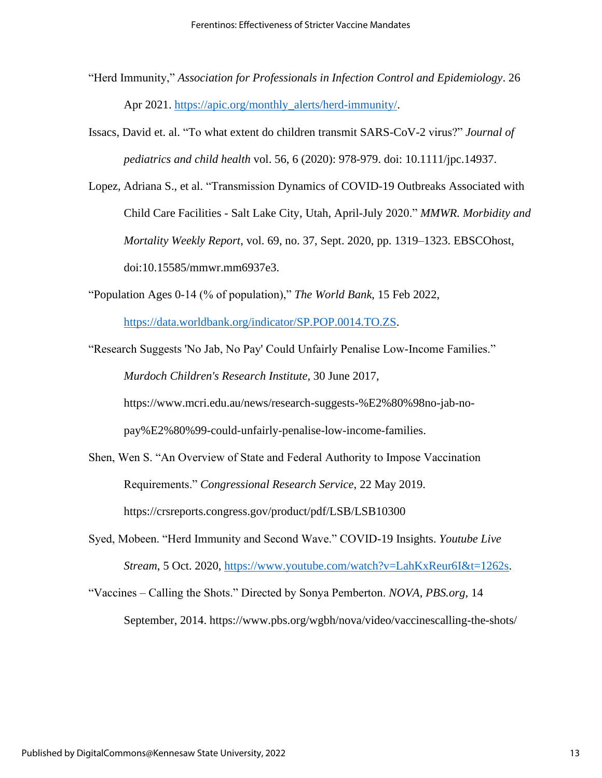- "Herd Immunity," *Association for Professionals in Infection Control and Epidemiology*. 26 Apr 2021. [https://apic.org/monthly\\_alerts/herd-immunity/.](https://apic.org/monthly_alerts/herd-immunity/)
- Issacs, David et. al. "To what extent do children transmit SARS-CoV-2 virus?" *Journal of pediatrics and child health* vol. 56, 6 (2020): 978-979. doi: 10.1111/jpc.14937.
- Lopez, Adriana S., et al. "Transmission Dynamics of COVID-19 Outbreaks Associated with Child Care Facilities - Salt Lake City, Utah, April-July 2020." *MMWR. Morbidity and Mortality Weekly Report*, vol. 69, no. 37, Sept. 2020, pp. 1319–1323. EBSCOhost, doi:10.15585/mmwr.mm6937e3.
- "Population Ages 0-14 (% of population)," *The World Bank*, 15 Feb 2022,

[https://data.worldbank.org/indicator/SP.POP.0014.TO.ZS.](https://data.worldbank.org/indicator/SP.POP.0014.TO.ZS)

"Research Suggests 'No Jab, No Pay' Could Unfairly Penalise Low-Income Families." *Murdoch Children's Research Institute*, 30 June 2017, https://www.mcri.edu.au/news/research-suggests-%E2%80%98no-jab-no-

pay%E2%80%99-could-unfairly-penalise-low-income-families.

- Shen, Wen S. "An Overview of State and Federal Authority to Impose Vaccination Requirements." *Congressional Research Service*, 22 May 2019. https://crsreports.congress.gov/product/pdf/LSB/LSB10300
- Syed, Mobeen. "Herd Immunity and Second Wave." COVID-19 Insights. *Youtube Live Stream*, 5 Oct. 2020, [https://www.youtube.com/watch?v=LahKxReur6I&t=1262s.](https://www.youtube.com/watch?v=LahKxReur6I&t=1262s)
- "Vaccines Calling the Shots." Directed by Sonya Pemberton. *NOVA, PBS.org,* 14 September, 2014. https://www.pbs.org/wgbh/nova/video/vaccinescalling-the-shots/